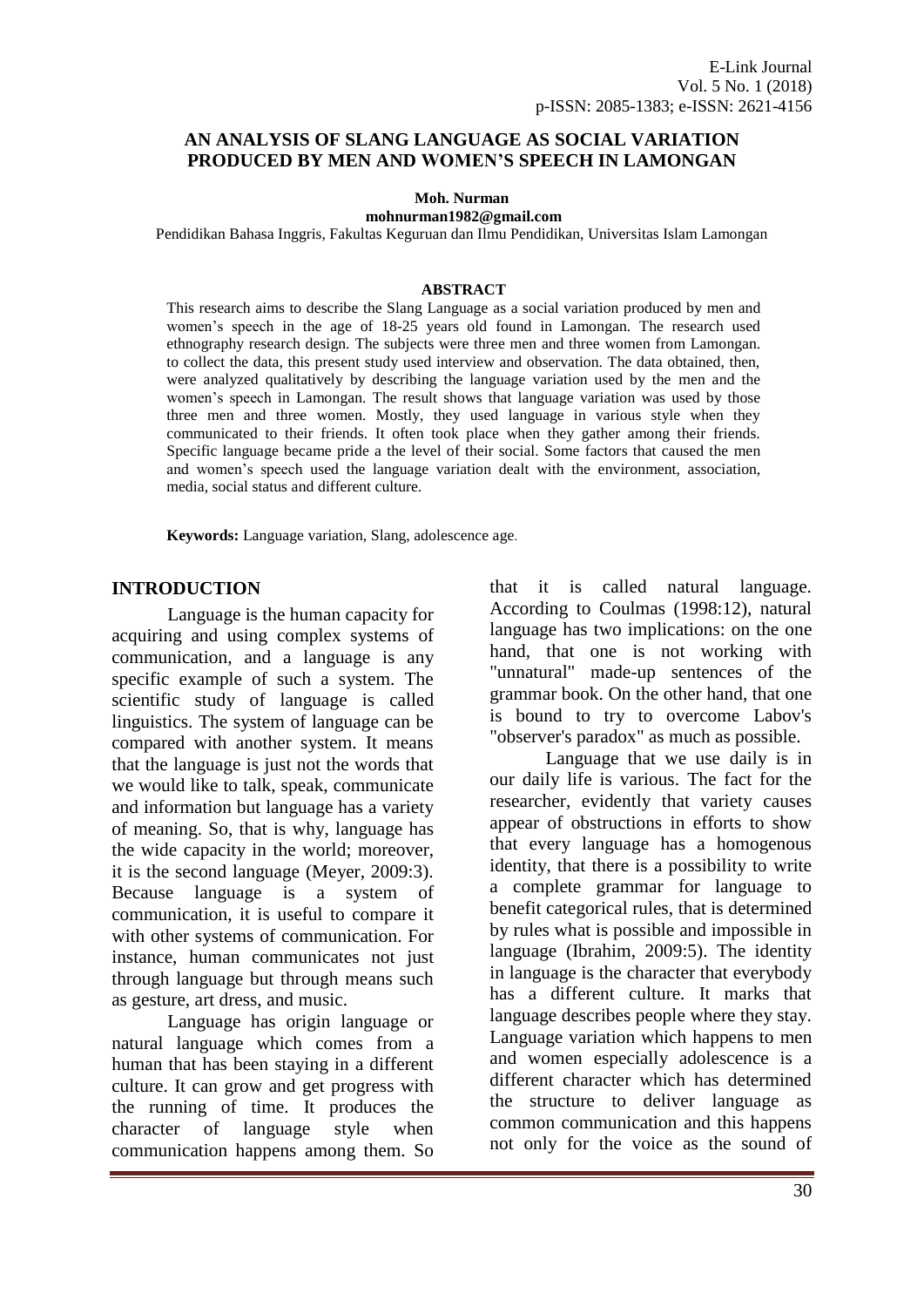#### **AN ANALYSIS OF SLANG LANGUAGE AS SOCIAL VARIATION PRODUCED BY MEN AND WOMEN'S SPEECH IN LAMONGAN**

**Moh. Nurman** 

**[mohnurman1982@gmail.com](mailto:mohnurman1982@gmail.com)**

Pendidikan Bahasa Inggris, Fakultas Keguruan dan Ilmu Pendidikan, Universitas Islam Lamongan

#### **ABSTRACT**

This research aims to describe the Slang Language as a social variation produced by men and women's speech in the age of 18-25 years old found in Lamongan. The research used ethnography research design. The subjects were three men and three women from Lamongan. to collect the data, this present study used interview and observation. The data obtained, then, were analyzed qualitatively by describing the language variation used by the men and the women's speech in Lamongan. The result shows that language variation was used by those three men and three women. Mostly, they used language in various style when they communicated to their friends. It often took place when they gather among their friends. Specific language became pride a the level of their social. Some factors that caused the men and women's speech used the language variation dealt with the environment, association, media, social status and different culture.

**Keywords:** Language variation, Slang, adolescence age.

#### **INTRODUCTION**

Language is the [human](http://en.wikipedia.org/wiki/Human) capacity for acquiring and using complex systems of [communication,](http://en.wikipedia.org/wiki/Communication) and a language is any specific example of such a system. The scientific study of language is called [linguistics.](http://en.wikipedia.org/wiki/Linguistics) The system of language can be compared with another system. It means that the language is just not the words that we would like to talk, speak, communicate and information but language has a variety of meaning. So, that is why, language has the wide capacity in the world; moreover, it is the second language (Meyer, 2009:3). Because language is a system of communication, it is useful to compare it with other systems of communication. For instance, human communicates not just through language but through means such as gesture, art dress, and music.

Language has origin language or natural language which comes from a human that has been staying in a different culture. It can grow and get progress with the running of time. It produces the character of language style when communication happens among them. So

that it is called natural language. According to Coulmas (1998:12), natural language has two implications: on the one hand, that one is not working with "unnatural" made-up sentences of the grammar book. On the other hand, that one is bound to try to overcome Labov's "observer's paradox" as much as possible.

Language that we use daily is in our daily life is various. The fact for the researcher, evidently that variety causes appear of obstructions in efforts to show that every language has a homogenous identity, that there is a possibility to write a complete grammar for language to benefit categorical rules, that is determined by rules what is possible and impossible in language (Ibrahim, 2009:5). The identity in language is the character that everybody has a different culture. It marks that language describes people where they stay. Language variation which happens to men and women especially adolescence is a different character which has determined the structure to deliver language as common communication and this happens not only for the voice as the sound of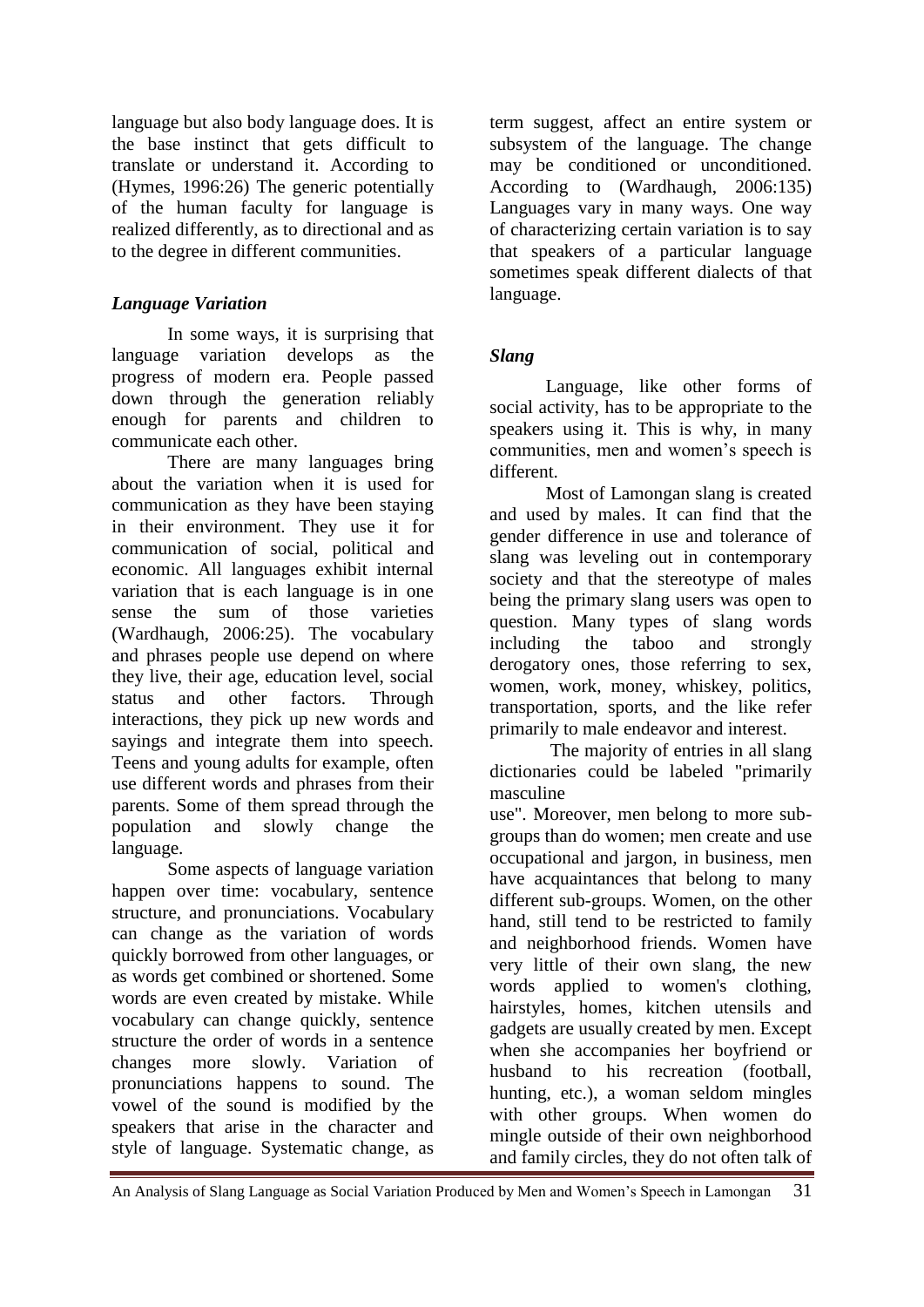language but also body language does. It is the base instinct that gets difficult to translate or understand it. According to (Hymes, 1996:26) The generic potentially of the human faculty for language is realized differently, as to directional and as to the degree in different communities.

# *Language Variation*

In some ways, it is surprising that language variation develops as the progress of modern era. People passed down through the generation reliably enough for parents and children to communicate each other.

There are many languages bring about the variation when it is used for communication as they have been staying in their environment. They use it for communication of social, political and economic. All languages exhibit internal variation that is each language is in one sense the sum of those varieties (Wardhaugh, 2006:25). The vocabulary and phrases people use depend on where they live, their age, education level, social status and other factors. Through interactions, they pick up new words and sayings and integrate them into speech. Teens and young adults for example, often use different words and phrases from their parents. Some of them spread through the population and slowly change the language.

Some aspects of language variation happen over time: vocabulary, sentence structure, and pronunciations. Vocabulary can change as the variation of words quickly borrowed from other languages, or as words get combined or shortened. Some words are even created by mistake. While vocabulary can change quickly, sentence structure the order of words in a sentence changes more slowly. Variation of pronunciations happens to sound. The vowel of the sound is modified by the speakers that arise in the character and style of language. Systematic change, as term suggest, affect an entire system or subsystem of the language. The change may be conditioned or unconditioned. According to (Wardhaugh, 2006:135) Languages vary in many ways. One way of characterizing certain variation is to say that speakers of a particular language sometimes speak different dialects of that language.

# *Slang*

Language, like other forms of social activity, has to be appropriate to the speakers using it. This is why, in many communities, men and women's speech is different.

Most of Lamongan slang is created and used by males. It can find that the gender difference in use and tolerance of slang was leveling out in contemporary society and that the stereotype of males being the primary slang users was open to question. Many types of slang words including the taboo and strongly derogatory ones, those referring to sex, women, work, money, whiskey, politics, transportation, sports, and the like refer primarily to male endeavor and interest.

The majority of entries in all slang dictionaries could be labeled "primarily masculine

use". Moreover, men belong to more subgroups than do women; men create and use occupational and jargon, in business, men have acquaintances that belong to many different sub-groups. Women, on the other hand, still tend to be restricted to family and neighborhood friends. Women have very little of their own slang, the new words applied to women's clothing, hairstyles, homes, kitchen utensils and gadgets are usually created by men. Except when she accompanies her boyfriend or husband to his recreation (football, hunting, etc.), a woman seldom mingles with other groups. When women do mingle outside of their own neighborhood and family circles, they do not often talk of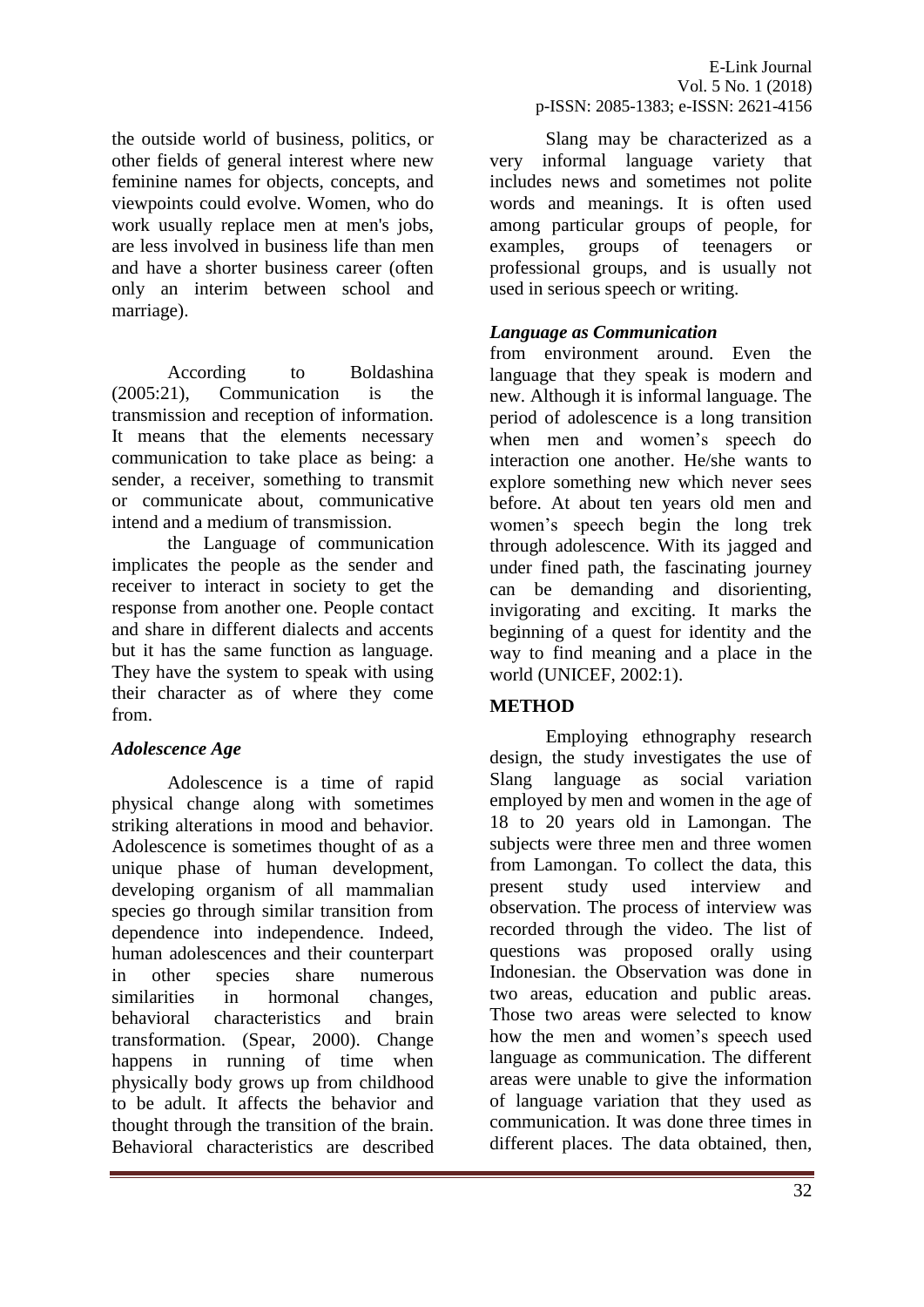the outside world of business, politics, or other fields of general interest where new feminine names for objects, concepts, and viewpoints could evolve. Women, who do work usually replace men at men's jobs, are less involved in business life than men and have a shorter business career (often only an interim between school and marriage).

According to Boldashina (2005:21), Communication is the transmission and reception of information. It means that the elements necessary communication to take place as being: a sender, a receiver, something to transmit or communicate about, communicative intend and a medium of transmission.

the Language of communication implicates the people as the sender and receiver to interact in society to get the response from another one. People contact and share in different dialects and accents but it has the same function as language. They have the system to speak with using their character as of where they come from.

## *Adolescence Age*

Adolescence is a time of rapid physical change along with sometimes striking alterations in mood and behavior. Adolescence is sometimes thought of as a unique phase of human development, developing organism of all mammalian species go through similar transition from dependence into independence. Indeed, human adolescences and their counterpart in other species share numerous similarities in hormonal changes, behavioral characteristics and brain transformation. (Spear, 2000). Change happens in running of time when physically body grows up from childhood to be adult. It affects the behavior and thought through the transition of the brain. Behavioral characteristics are described

Slang may be characterized as a very informal language variety that includes news and sometimes not polite words and meanings. It is often used among particular groups of people, for examples, groups of teenagers or professional groups, and is usually not used in serious speech or writing.

### *Language as Communication*

from environment around. Even the language that they speak is modern and new. Although it is informal language. The period of adolescence is a long transition when men and women's speech do interaction one another. He/she wants to explore something new which never sees before. At about ten years old men and women's speech begin the long trek through adolescence. With its jagged and under fined path, the fascinating journey can be demanding and disorienting, invigorating and exciting. It marks the beginning of a quest for identity and the way to find meaning and a place in the world (UNICEF, 2002:1).

## **METHOD**

Employing ethnography research design, the study investigates the use of Slang language as social variation employed by men and women in the age of 18 to 20 years old in Lamongan. The subjects were three men and three women from Lamongan. To collect the data, this present study used interview and observation. The process of interview was recorded through the video. The list of questions was proposed orally using Indonesian. the Observation was done in two areas, education and public areas. Those two areas were selected to know how the men and women's speech used language as communication. The different areas were unable to give the information of language variation that they used as communication. It was done three times in different places. The data obtained, then,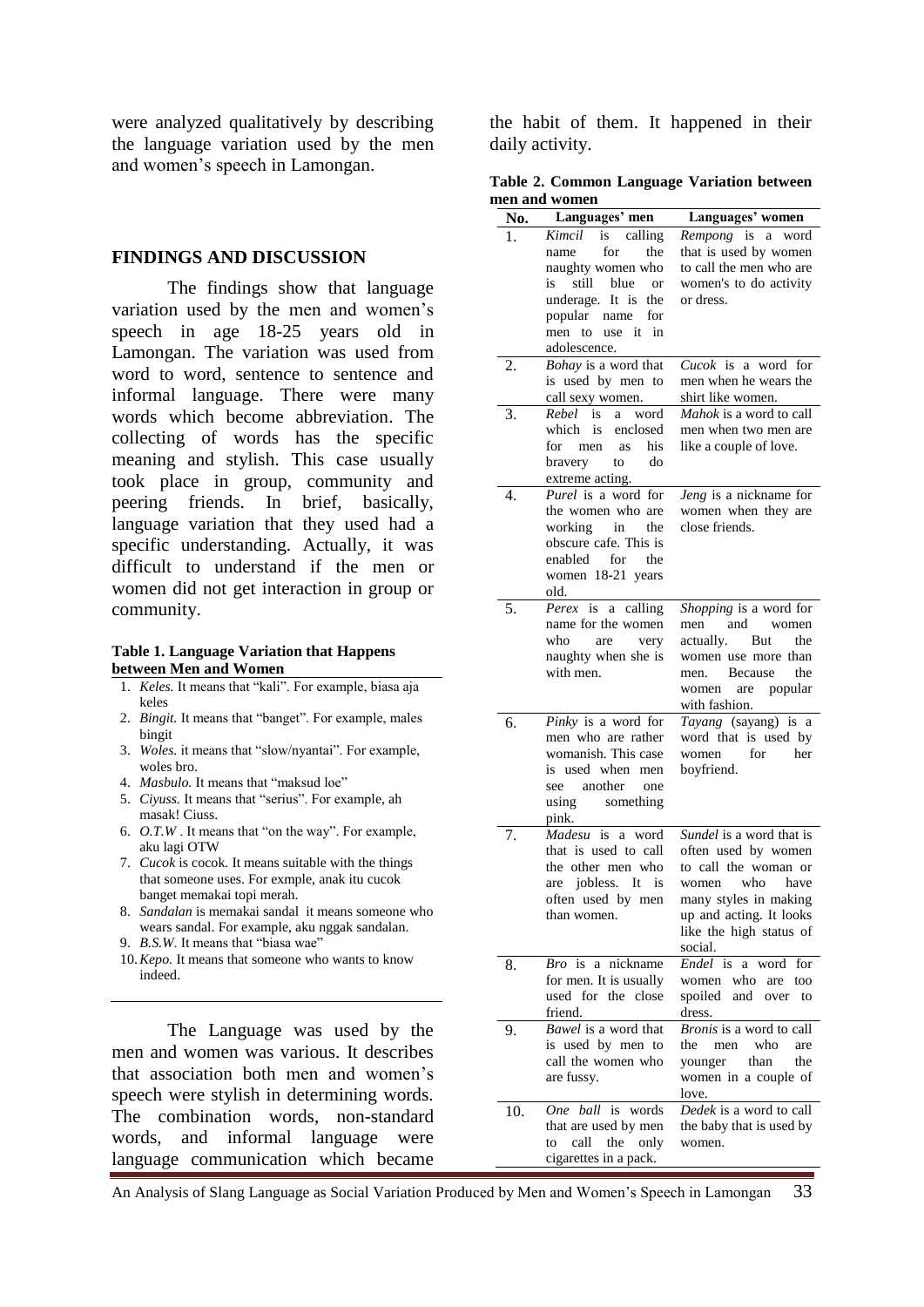were analyzed qualitatively by describing the language variation used by the men and women's speech in Lamongan.

#### **FINDINGS AND DISCUSSION**

The findings show that language variation used by the men and women's speech in age 18-25 years old in Lamongan. The variation was used from word to word, sentence to sentence and informal language. There were many words which become abbreviation. The collecting of words has the specific meaning and stylish. This case usually took place in group, community and peering friends. In brief, basically, language variation that they used had a specific understanding. Actually, it was difficult to understand if the men or women did not get interaction in group or community.

#### **Table 1. Language Variation that Happens between Men and Women**

- 1. *Keles.* It means that "kali". For example, biasa aja keles
- 2. *Bingit.* It means that "banget". For example, males bingit
- 3. *Woles.* it means that "slow/nyantai". For example, woles bro.
- 4. *Masbulo.* It means that "maksud loe"
- 5. *Ciyuss.* It means that "serius". For example, ah masak! Ciuss.
- 6. *O.T.W* . It means that "on the way". For example, aku lagi OTW
- 7. *Cucok* is cocok. It means suitable with the things that someone uses. For exmple, anak itu cucok banget memakai topi merah.
- 8. *Sandalan* is memakai sandal it means someone who wears sandal. For example, aku nggak sandalan.
- 9. *B.S.W*. It means that "biasa wae"
- 10.*Kepo.* It means that someone who wants to know indeed.

The Language was used by the men and women was various. It describes that association both men and women's speech were stylish in determining words. The combination words, non-standard words, and informal language were language communication which became

the habit of them. It happened in their daily activity.

**Table 2. Common Language Variation between men and women**

| No. | Languages' men                                           | Languages' women                           |
|-----|----------------------------------------------------------|--------------------------------------------|
| 1.  | Kimcil<br>is calling                                     | Rempong is a word                          |
|     | for<br>the<br>name                                       | that is used by women                      |
|     | naughty women who                                        | to call the men who are                    |
|     | still blue<br>is<br><sub>or</sub><br>underage. It is the | women's to do activity<br>or dress.        |
|     | popular name<br>for                                      |                                            |
|     | men to use it<br>in                                      |                                            |
|     | adolescence.                                             |                                            |
| 2.  | Bohay is a word that                                     | <i>Cucok</i> is a word for                 |
|     | is used by men to                                        | men when he wears the                      |
|     | call sexy women.                                         | shirt like women.                          |
| 3.  | Rebel is<br>word<br>a                                    | Mahok is a word to call                    |
|     | which is<br>enclosed                                     | men when two men are                       |
|     | for<br>his<br>men<br>as<br>bravery<br>do<br>to           | like a couple of love.                     |
|     | extreme acting.                                          |                                            |
| 4.  | Purel is a word for                                      | Jeng is a nickname for                     |
|     | the women who are                                        | women when they are                        |
|     | working<br>in<br>the                                     | close friends.                             |
|     | obscure cafe. This is                                    |                                            |
|     | enabled<br>for<br>the                                    |                                            |
|     | women 18-21 years<br>old.                                |                                            |
| 5.  | Perex is<br>a calling                                    | Shopping is a word for                     |
|     | name for the women                                       | and<br>men<br>women                        |
|     | who<br>are<br>very                                       | <b>But</b><br>actually.<br>the             |
|     | naughty when she is                                      | women use more than                        |
|     | with men.                                                | Because<br>the<br>men.                     |
|     |                                                          | popular<br>women are                       |
| 6.  | Pinky is a word for                                      | with fashion.<br>Tayang (sayang) is a      |
|     | men who are rather                                       | word that is used by                       |
|     | womanish. This case                                      | for<br>women<br>her                        |
|     | is used when men                                         | boyfriend.                                 |
|     | see another<br>one                                       |                                            |
|     | using<br>something                                       |                                            |
|     | pink.                                                    | Sundel is a word that is                   |
| 7.  | Madesu<br>is<br>word<br>a<br>that is used to call        | often used by women                        |
|     | the other men who                                        | to call the woman or                       |
|     | are jobless. It is                                       | women who have                             |
|     | often used by men                                        | many styles in making                      |
|     | than women.                                              | up and acting. It looks                    |
|     |                                                          | like the high status of                    |
| 8.  | a nickname<br><i>Bro</i> is                              | social.<br>Endel<br>word<br>is<br>for<br>a |
|     | for men. It is usually                                   | who<br>women<br>too<br>are                 |
|     | used for the close                                       | spoiled<br>and<br>over<br>to               |
|     | friend.                                                  | dress.                                     |
| 9.  | <i>Bawel</i> is a word that                              | <i>Bronis</i> is a word to call            |
|     | is used by men to                                        | who<br>the<br>men<br>are                   |
|     | call the women who                                       | than<br>the<br>younger                     |
|     | are fussy.                                               | women in a couple of<br>love.              |
| 10. | One ball<br>is<br>words                                  | Dedek is a word to call                    |
|     | that are used by men                                     | the baby that is used by                   |
|     | call<br>the<br>only<br>to                                | women.                                     |
|     | cigarettes in a pack.                                    |                                            |

An Analysis of Slang Language as Social Variation Produced by Men and Women's Speech in Lamongan 33